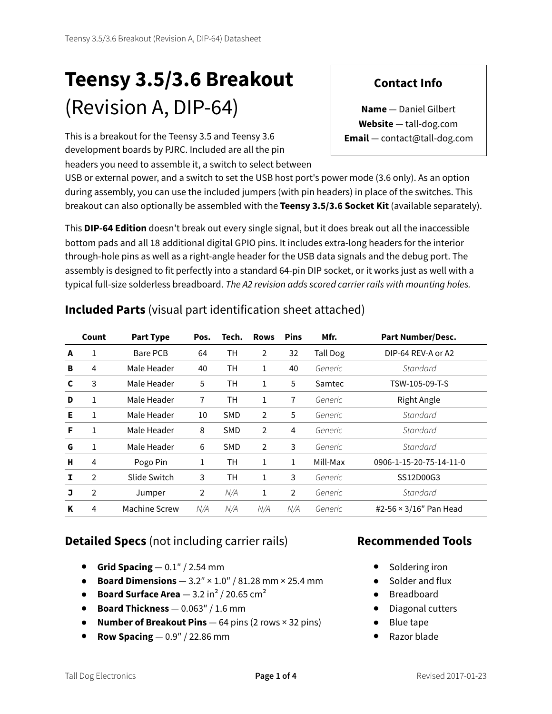# **Teensy 3.5/3.6 Breakout** (Revision A, DIP-64)

This is a breakout for the Teensy 3.5 and Teensy 3.6 development boards by PJRC. Included are all the pin headers you need to assemble it, a switch to select between

USB or external power, and a switch to set the USB host port's power mode (3.6 only). As an option during assembly, you can use the included jumpers (with pin headers) in place of the switches. This breakout can also optionally be assembled with the **Teensy 3.5/3.6 Socket Kit** (available separately).

This **DIP-64 Edition** doesn't break out every single signal, but it does break out all the inaccessible bottom pads and all 18 additional digital GPIO pins. It includes extra-long headers for the interior through-hole pins as well as a right-angle header for the USB data signals and the debug port. The assembly is designed to fit perfectly into a standard 64-pin DIP socket, or it works just as well with a typical full-size solderless breadboard. *The A2 revision adds scored carrier rails with mounting holes.*

|   | Count          | <b>Part Type</b> | Pos. | Tech.      | <b>Rows</b>    | <b>Pins</b>    | Mfr.     | <b>Part Number/Desc.</b>      |
|---|----------------|------------------|------|------------|----------------|----------------|----------|-------------------------------|
| A | 1              | Bare PCB         | 64   | TН         | 2              | 32             | Tall Dog | DIP-64 REV-A or A2            |
| B | 4              | Male Header      | 40   | TН         | 1              | 40             | Generic  | Standard                      |
| C | 3              | Male Header      | 5    | TН         | 1              | 5              | Samtec   | TSW-105-09-T-S                |
| D | 1              | Male Header      | 7    | TН         | 1              | 7              | Generic  | <b>Right Angle</b>            |
| Е | 1              | Male Header      | 10   | <b>SMD</b> | $\overline{2}$ | 5              | Generic  | Standard                      |
| F | 1              | Male Header      | 8    | <b>SMD</b> | 2              | 4              | Generic  | Standard                      |
| G | 1              | Male Header      | 6    | <b>SMD</b> | $\overline{2}$ | 3              | Generic  | Standard                      |
| н | $\overline{4}$ | Pogo Pin         | 1    | TН         | 1              | 1              | Mill-Max | 0906-1-15-20-75-14-11-0       |
|   | $\overline{2}$ | Slide Switch     | 3    | TН         | 1              | 3              | Generic  | SS12D00G3                     |
| J | $\overline{2}$ | Jumper           | 2    | N/A        | 1              | $\overline{2}$ | Generic  | Standard                      |
| K | 4              | Machine Screw    | N/A  | N/A        | N/A            | N/A            | Generic  | #2-56 $\times$ 3/16" Pan Head |

#### **Included Parts** (visual part identification sheet attached)

## **Detailed Specs** (not including carrier rails)

- **Grid Spacing**  $-0.1$ " / 2.54 mm
- **Board Dimensions** 3.2″ × 1.0″ / 81.28 mm × 25.4 mm
- **Board Surface Area**  $3.2 \text{ in}^2 / 20.65 \text{ cm}^2$
- **Board Thickness** 0.063″ / 1.6 mm
- **Number of Breakout Pins** 64 pins (2 rows × 32 pins)
- **Row Spacing** 0.9″ / 22.86 mm

#### **Recommended Tools**

- Soldering iron
- Solder and flux
- Breadboard
- Diagonal cutters
- Blue tape
- Razor blade

# **Contact Info**

**Name** — Daniel Gilbert **Website** — tall-dog.com **Email** — contact@tall-dog.com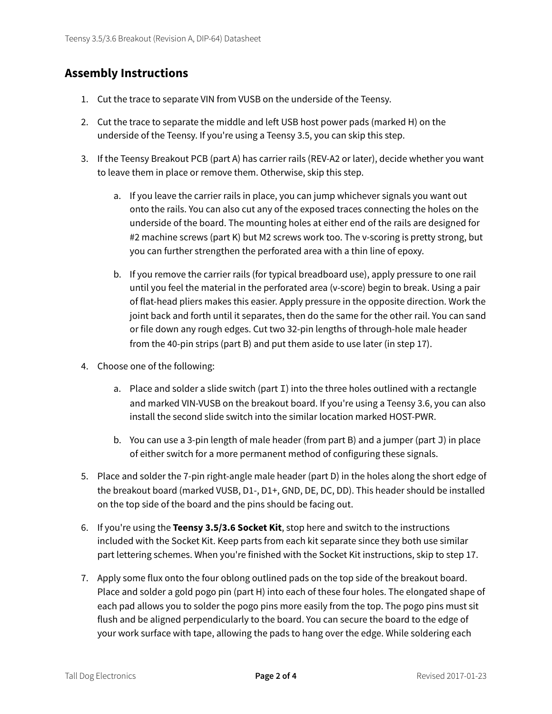#### **Assembly Instructions**

- 1. Cut the trace to separate VIN from VUSB on the underside of the Teensy.
- 2. Cut the trace to separate the middle and left USB host power pads (marked H) on the underside of the Teensy. If you're using a Teensy 3.5, you can skip this step.
- 3. If the Teensy Breakout PCB (part A) has carrier rails (REV-A2 or later), decide whether you want to leave them in place or remove them. Otherwise, skip this step.
	- a. If you leave the carrier rails in place, you can jump whichever signals you want out onto the rails. You can also cut any of the exposed traces connecting the holes on the underside of the board. The mounting holes at either end of the rails are designed for #2 machine screws (part K) but M2 screws work too. The v-scoring is pretty strong, but you can further strengthen the perforated area with a thin line of epoxy.
	- b. If you remove the carrier rails (for typical breadboard use), apply pressure to one rail until you feel the material in the perforated area (v-score) begin to break. Using a pair of flat-head pliers makes this easier. Apply pressure in the opposite direction. Work the joint back and forth until it separates, then do the same for the other rail. You can sand or file down any rough edges. Cut two 32-pin lengths of through-hole male header from the 40-pin strips (part B) and put them aside to use later (in step 17).
- 4. Choose one of the following:
	- a. Place and solder a slide switch (part I) into the three holes outlined with a rectangle and marked VIN-VUSB on the breakout board. If you're using a Teensy 3.6, you can also install the second slide switch into the similar location marked HOST-PWR.
	- b. You can use a 3-pin length of male header (from part B) and a jumper (part J) in place of either switch for a more permanent method of configuring these signals.
- 5. Place and solder the 7-pin right-angle male header (part D) in the holes along the short edge of the breakout board (marked VUSB, D1-, D1+, GND, DE, DC, DD). This header should be installed on the top side of the board and the pins should be facing out.
- 6. If you're using the **Teensy 3.5/3.6 Socket Kit**, stop here and switch to the instructions included with the Socket Kit. Keep parts from each kit separate since they both use similar part lettering schemes. When you're finished with the Socket Kit instructions, skip to step 17.
- 7. Apply some flux onto the four oblong outlined pads on the top side of the breakout board. Place and solder a gold pogo pin (part H) into each of these four holes. The elongated shape of each pad allows you to solder the pogo pins more easily from the top. The pogo pins must sit flush and be aligned perpendicularly to the board. You can secure the board to the edge of your work surface with tape, allowing the pads to hang over the edge. While soldering each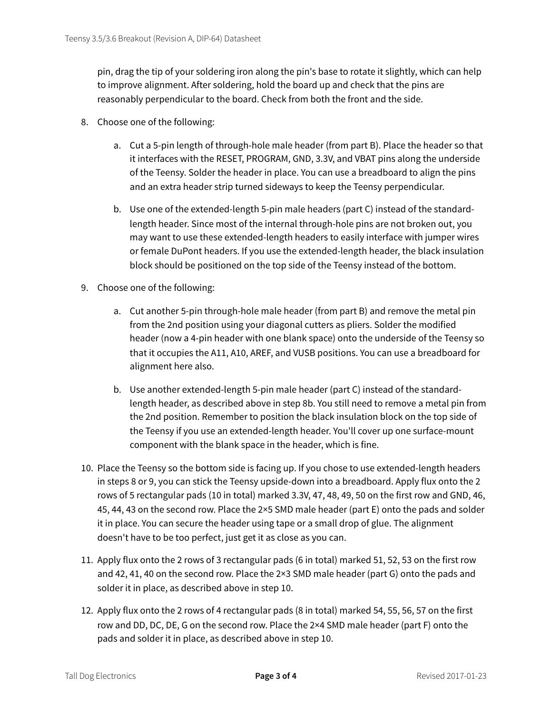pin, drag the tip of your soldering iron along the pin's base to rotate it slightly, which can help to improve alignment. After soldering, hold the board up and check that the pins are reasonably perpendicular to the board. Check from both the front and the side.

- 8. Choose one of the following:
	- a. Cut a 5-pin length of through-hole male header (from part B). Place the header so that it interfaces with the RESET, PROGRAM, GND, 3.3V, and VBAT pins along the underside of the Teensy. Solder the header in place. You can use a breadboard to align the pins and an extra header strip turned sideways to keep the Teensy perpendicular.
	- b. Use one of the extended-length 5-pin male headers (part C) instead of the standardlength header. Since most of the internal through-hole pins are not broken out, you may want to use these extended-length headers to easily interface with jumper wires or female DuPont headers. If you use the extended-length header, the black insulation block should be positioned on the top side of the Teensy instead of the bottom.
- 9. Choose one of the following:
	- a. Cut another 5-pin through-hole male header (from part B) and remove the metal pin from the 2nd position using your diagonal cutters as pliers. Solder the modified header (now a 4-pin header with one blank space) onto the underside of the Teensy so that it occupies the A11, A10, AREF, and VUSB positions. You can use a breadboard for alignment here also.
	- b. Use another extended-length 5-pin male header (part C) instead of the standardlength header, as described above in step 8b. You still need to remove a metal pin from the 2nd position. Remember to position the black insulation block on the top side of the Teensy if you use an extended-length header. You'll cover up one surface-mount component with the blank space in the header, which is fine.
- 10. Place the Teensy so the bottom side is facing up. If you chose to use extended-length headers in steps 8 or 9, you can stick the Teensy upside-down into a breadboard. Apply flux onto the 2 rows of 5 rectangular pads (10 in total) marked 3.3V, 47, 48, 49, 50 on the first row and GND, 46, 45, 44, 43 on the second row. Place the 2×5 SMD male header (part E) onto the pads and solder it in place. You can secure the header using tape or a small drop of glue. The alignment doesn't have to be too perfect, just get it as close as you can.
- 11. Apply flux onto the 2 rows of 3 rectangular pads (6 in total) marked 51, 52, 53 on the first row and 42, 41, 40 on the second row. Place the 2×3 SMD male header (part G) onto the pads and solder it in place, as described above in step 10.
- 12. Apply flux onto the 2 rows of 4 rectangular pads (8 in total) marked 54, 55, 56, 57 on the first row and DD, DC, DE, G on the second row. Place the 2×4 SMD male header (part F) onto the pads and solder it in place, as described above in step 10.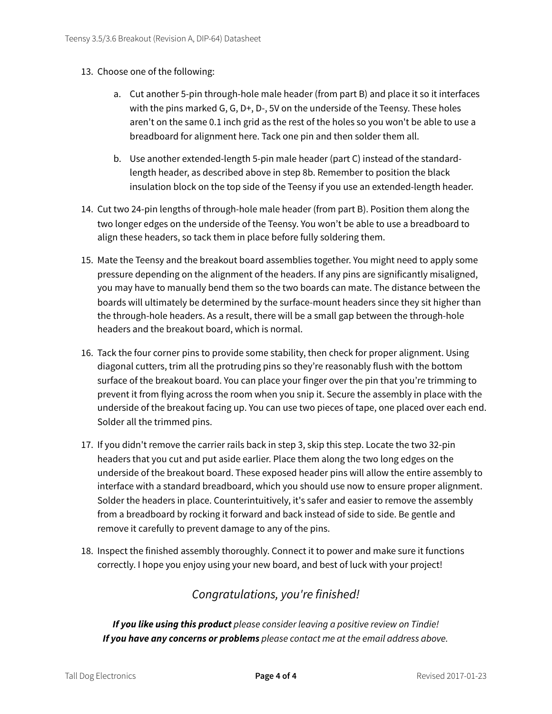- 13. Choose one of the following:
	- a. Cut another 5-pin through-hole male header (from part B) and place it so it interfaces with the pins marked G, G, D+, D-, 5V on the underside of the Teensy. These holes aren't on the same 0.1 inch grid as the rest of the holes so you won't be able to use a breadboard for alignment here. Tack one pin and then solder them all.
	- b. Use another extended-length 5-pin male header (part C) instead of the standardlength header, as described above in step 8b. Remember to position the black insulation block on the top side of the Teensy if you use an extended-length header.
- 14. Cut two 24-pin lengths of through-hole male header (from part B). Position them along the two longer edges on the underside of the Teensy. You won't be able to use a breadboard to align these headers, so tack them in place before fully soldering them.
- 15. Mate the Teensy and the breakout board assemblies together. You might need to apply some pressure depending on the alignment of the headers. If any pins are significantly misaligned, you may have to manually bend them so the two boards can mate. The distance between the boards will ultimately be determined by the surface-mount headers since they sit higher than the through-hole headers. As a result, there will be a small gap between the through-hole headers and the breakout board, which is normal.
- 16. Tack the four corner pins to provide some stability, then check for proper alignment. Using diagonal cutters, trim all the protruding pins so they're reasonably flush with the bottom surface of the breakout board. You can place your finger over the pin that you're trimming to prevent it from flying across the room when you snip it. Secure the assembly in place with the underside of the breakout facing up. You can use two pieces of tape, one placed over each end. Solder all the trimmed pins.
- 17. If you didn't remove the carrier rails back in step 3, skip this step. Locate the two 32-pin headers that you cut and put aside earlier. Place them along the two long edges on the underside of the breakout board. These exposed header pins will allow the entire assembly to interface with a standard breadboard, which you should use now to ensure proper alignment. Solder the headers in place. Counterintuitively, it's safer and easier to remove the assembly from a breadboard by rocking it forward and back instead of side to side. Be gentle and remove it carefully to prevent damage to any of the pins.
- 18. Inspect the finished assembly thoroughly. Connect it to power and make sure it functions correctly. I hope you enjoy using your new board, and best of luck with your project!

## *Congratulations, you're finished!*

*If you like using this product please consider leaving a positive review on Tindie! If you have any concerns or problems please contact me at the email address above.*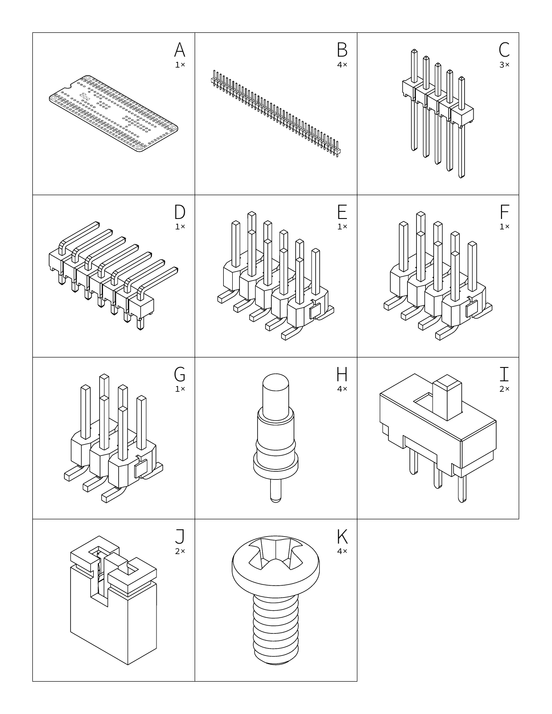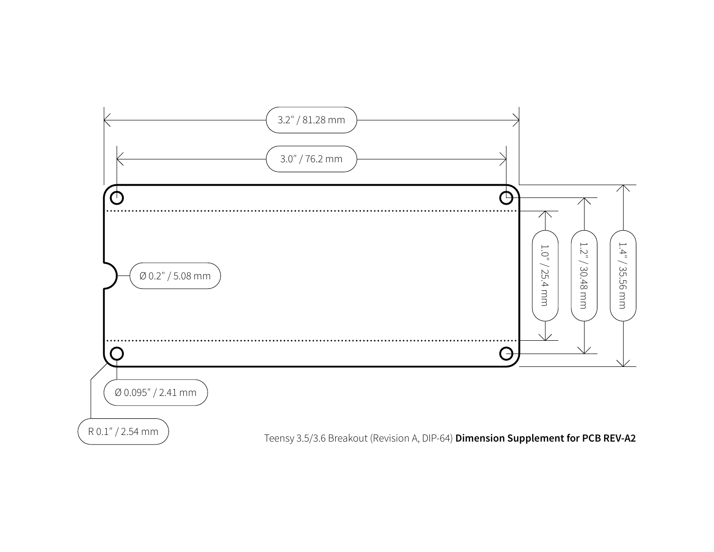